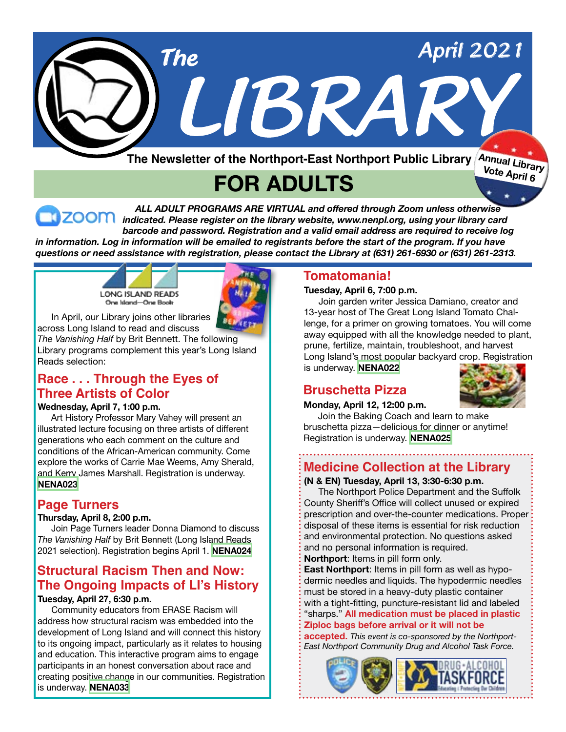

 *ALL ADULT PROGRAMS ARE VIRTUAL and offered through Zoom unless otherwise indicated. Please register on the library website, www.nenpl.org, using your library card barcode and password. Registration and a valid email address are required to receive log* in information. Log in information will be emailed to registrants before the start of the program. If you have

*questions or need assistance with registration, please contact the Library at (631) 261-6930 or (631) 261-2313.*





 In April, our Library joins other libraries across Long Island to read and discuss *The Vanishing Half* by Brit Bennett. The following

Library programs complement this year's Long Island Reads selection:

## **Race . . . Through the Eyes of Three Artists of Color**

#### **Wednesday, April 7, 1:00 p.m.**

 Art History Professor Mary Vahey will present an illustrated lecture focusing on three artists of different generations who each comment on the culture and conditions of the African-American community. Come explore the works of Carrie Mae Weems, Amy Sherald, and Kerry James Marshall. Registration is underway. **[NENA023](https://search.livebrary.com/record=g1103659~S43)**

## **Page Turners**

#### **Thursday, April 8, 2:00 p.m.**

 Join Page Turners leader Donna Diamond to discuss *The Vanishing Half* by Brit Bennett (Long Island Reads 2021 selection). Registration begins April 1. **[NENA024](https://search.livebrary.com/record=g1103660~S43)**

## **Structural Racism Then and Now: The Ongoing Impacts of LI's History**

#### **Tuesday, April 27, 6:30 p.m.**

 Community educators from ERASE Racism will address how structural racism was embedded into the development of Long Island and will connect this history to its ongoing impact, particularly as it relates to housing and education. This interactive program aims to engage participants in an honest conversation about race and creating positive change in our communities. Registration is underway. **[NENA033](https://search.livebrary.com/record=g1103661~S43)**

## **Tomatomania!**

#### **Tuesday, April 6, 7:00 p.m.**

Join garden writer Jessica Damiano, creator and 13-year host of The Great Long Island Tomato Challenge, for a primer on growing tomatoes. You will come away equipped with all the knowledge needed to plant, prune, fertilize, maintain, troubleshoot, and harvest Long Island's most popular backyard crop. Registration is underway. **[NENA022](https://search.livebrary.com/record=g1103662~S43)**

## **Bruschetta Pizza**

#### **Monday, April 12, 12:00 p.m.**



Join the Baking Coach and learn to make bruschetta pizza—delicious for dinner or anytime! Registration is underway. **[NENA025](https://search.livebrary.com/record=g1103665~S43)**

## **Medicine Collection at the Library**

**(N & EN) Tuesday, April 13, 3:30-6:30 p.m.**

 The Northport Police Department and the Suffolk County Sheriff's Office will collect unused or expired prescription and over-the-counter medications. Proper: disposal of these items is essential for risk reduction and environmental protection. No questions asked and no personal information is required. **Northport**: Items in pill form only.

**East Northport**: Items in pill form as well as hypodermic needles and liquids. The hypodermic needles must be stored in a heavy-duty plastic container with a tight-fitting, puncture-resistant lid and labeled "sharps." **All medication must be placed in plastic Ziploc bags before arrival or it will not be**

**accepted.** *This event is co-sponsored by the Northport-East Northport Community Drug and Alcohol Task Force.*

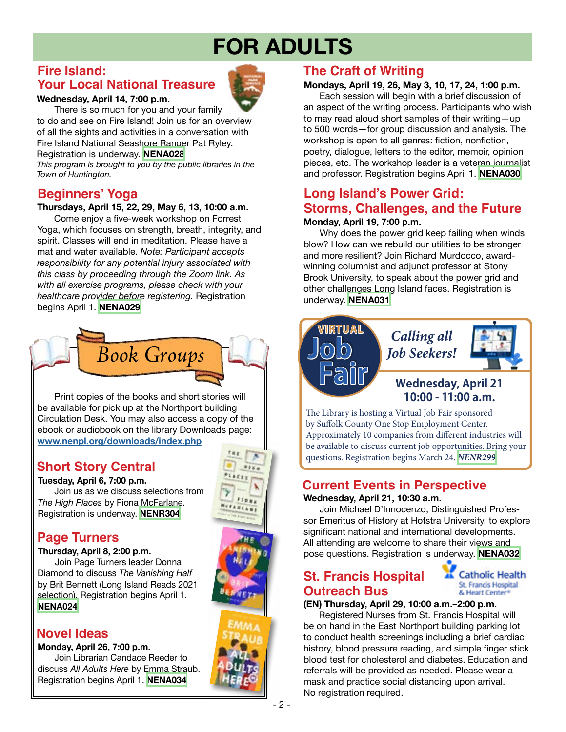## **Fire Island: Your Local National Treasure**

#### **Wednesday, April 14, 7:00 p.m.**

There is so much for you and your family to do and see on Fire Island! Join us for an overview of all the sights and activities in a conversation with Fire Island National Seashore Ranger Pat Ryley. Registration is underway. **[NENA028](https://search.livebrary.com/record=g1103678~S43)**

*This program is brought to you by the public libraries in the Town of Huntington.*

## **Beginners' Yoga**

#### **Thursdays, April 15, 22, 29, May 6, 13, 10:00 a.m.**

Come enjoy a five-week workshop on Forrest Yoga, which focuses on strength, breath, integrity, and spirit. Classes will end in meditation. Please have a mat and water available. *Note: Participant accepts responsibility for any potential injury associated with this class by proceeding through the Zoom link. As with all exercise programs, please check with your healthcare provider before registering.* Registration begins April 1. **[NENA029](https://search.livebrary.com/record=g1103669~S43)**



 Print copies of the books and short stories will be available for pick up at the Northport building Circulation Desk. You may also access a copy of the ebook or audiobook on the library Downloads page: **[www.nenpl.org/downloads/index.php](https://www.nenpl.org/downloads/index.php)**

## **Short Story Central**

#### **Tuesday, April 6, 7:00 p.m.**

 Join us as we discuss selections from *The High Places* by Fiona McFarlane. Registration is underway. **[NENR304](https://search.livebrary.com/record=g1101010~S43)** 

## **Page Turners**

**Thursday, April 8, 2:00 p.m.** Join Page Turners leader Donna Diamond to discuss *The Vanishing Half* by Brit Bennett (Long Island Reads 2021 selection). Registration begins April 1. **[NENA024](https://search.livebrary.com/record=g1103660~S43)**

## **Novel Ideas**

**Monday, April 26, 7:00 p.m.** Join Librarian Candace Reeder to discuss *All Adults Here* by Emma Straub.

Registration begins April 1. **[NENA034](https://search.livebrary.com/record=g1103672~S43)**



## **The Craft of Writing**

#### **Mondays, April 19, 26, May 3, 10, 17, 24, 1:00 p.m.**

 Each session will begin with a brief discussion of an aspect of the writing process. Participants who wish to may read aloud short samples of their writing—up to 500 words—for group discussion and analysis. The workshop is open to all genres: fiction, nonfiction, poetry, dialogue, letters to the editor, memoir, opinion pieces, etc. The workshop leader is a veteran journalist and professor. Registration begins April 1. **[NENA030](https://search.livebrary.com/record=g1103676~S43)**

### **Monday, April 19, 7:00 p.m. Long Island's Power Grid: Storms, Challenges, and the Future**

 Why does the power grid keep failing when winds blow? How can we rebuild our utilities to be stronger and more resilient? Join Richard Murdocco, awardwinning columnist and adjunct professor at Stony Brook University, to speak about the power grid and other challenges Long Island faces. Registration is underway. **[NENA031](https://search.livebrary.com/record=g1103677~S43)**



## **10:00 - 11:00 a.m.**

The Library is hosting a Virtual Job Fair sponsored by Suffolk County One Stop Employment Center. Approximately 10 companies from different industries will be available to discuss current job opportunities. Bring your questions. Registration begins March 24. *[NENR299](https://search.livebrary.com/record=g1103351~S43)*

## **Current Events in Perspective**

#### **Wednesday, April 21, 10:30 a.m.**

 Join Michael D'Innocenzo, Distinguished Professor Emeritus of History at Hofstra University, to explore significant national and international developments. All attending are welcome to share their views and pose questions. Registration is underway. **[NENA032](https://search.livebrary.com/record=g1103680~S43)**

## **St. Francis Hospital Outreach Bus**



#### **(EN) Thursday, April 29, 10:00 a.m.–2:00 p.m.**

 Registered Nurses from St. Francis Hospital will be on hand in the East Northport building parking lot to conduct health screenings including a brief cardiac history, blood pressure reading, and simple finger stick blood test for cholesterol and diabetes. Education and referrals will be provided as needed. Please wear a mask and practice social distancing upon arrival. No registration required.

 $8140$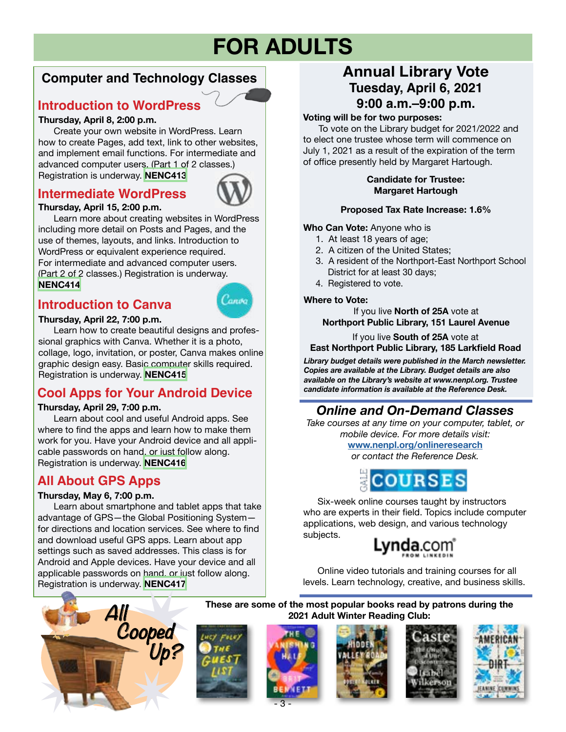## **Computer and Technology Classes**

## **Introduction to WordPress**

#### **Thursday, April 8, 2:00 p.m.**

 Create your own website in WordPress. Learn how to create Pages, add text, link to other websites, and implement email functions. For intermediate and advanced computer users. (Part 1 of 2 classes.) Registration is underway. **[NENC413](https://search.livebrary.com/record=g1100595~S43)**

## **Intermediate WordPress**



#### **Thursday, April 15, 2:00 p.m.**

 Learn more about creating websites in WordPress including more detail on Posts and Pages, and the use of themes, layouts, and links. Introduction to WordPress or equivalent experience required. For intermediate and advanced computer users. (Part 2 of 2 classes.) Registration is underway. **[NENC414](https://search.livebrary.com/record=g1102396~S43)**

## **Introduction to Canva**



**Thursday, April 22, 7:00 p.m.**  Learn how to create beautiful designs and professional graphics with Canva. Whether it is a photo, collage, logo, invitation, or poster, Canva makes online graphic design easy. Basic computer skills required. Registration is underway. **[NENC415](https://search.livebrary.com/record=g1102397~S43)**

## **Cool Apps for Your Android Device**

#### **Thursday, April 29, 7:00 p.m.**

 Learn about cool and useful Android apps. See where to find the apps and learn how to make them work for you. Have your Android device and all applicable passwords on hand, or just follow along. Registration is underway. **[NENC416](https://search.livebrary.com/record=g1088917~S43)**

## **All About GPS Apps**

#### **Thursday, May 6, 7:00 p.m.**

 Learn about smartphone and tablet apps that take advantage of GPS—the Global Positioning System for directions and location services. See where to find and download useful GPS apps. Learn about app settings such as saved addresses. This class is for Android and Apple devices. Have your device and all applicable passwords on hand, or just follow along. Registration is underway. **[NENC417](https://search.livebrary.com/record=g1102398~S43)**

## **Annual Library Vote Tuesday, April 6, 2021 9:00 a.m.–9:00 p.m.**

#### **Voting will be for two purposes:**

 To vote on the Library budget for 2021/2022 and to elect one trustee whose term will commence on July 1, 2021 as a result of the expiration of the term of office presently held by Margaret Hartough.

#### **Candidate for Trustee: Margaret Hartough**

#### **Proposed Tax Rate Increase: 1.6%**

**Who Can Vote:** Anyone who is

- 1. At least 18 years of age;
- 2. A citizen of the United States;
- 3. A resident of the Northport-East Northport School District for at least 30 days;
- 4. Registered to vote.

#### **Where to Vote:**

If you live **North of 25A** vote at **Northport Public Library, 151 Laurel Avenue**

If you live **South of 25A** vote at **East Northport Public Library, 185 Larkfield Road**

*Library budget details were published in the March newsletter. Copies are available at the Library. Budget details are also available on the Library's website at www.nenpl.org. Trustee candidate information is available at the Reference Desk.*

## *Online and On-Demand Classes*

*Take courses at any time on your computer, tablet, or mobile device. For more details visit:*

**[www.nenpl.org/onlineresearch](https://www.nenpl.org/onlineresearch/index.php)**

*or contact the Reference Desk.*



 Six-week online courses taught by instructors who are experts in their field. Topics include computer applications, web design, and various technology subjects.



 Online video tutorials and training courses for all levels. Learn technology, creative, and business skills.











- 3 -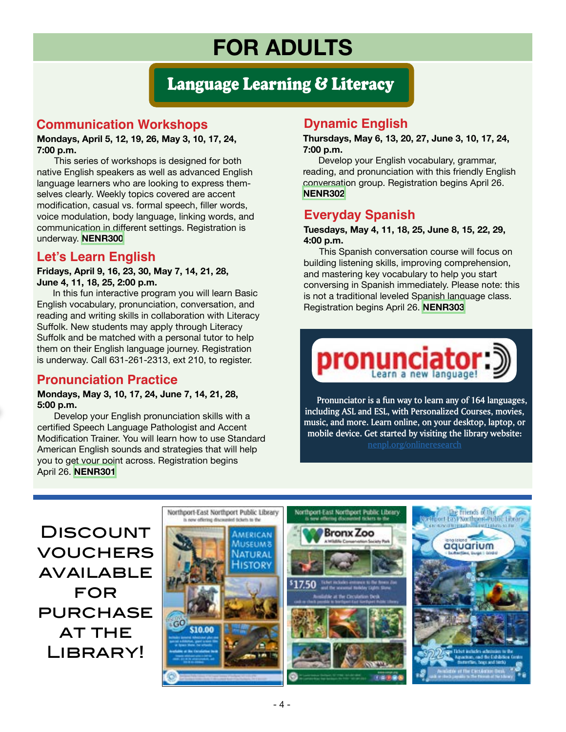## Language Learning & Literacy

## **Communication Workshops**

#### **Mondays, April 5, 12, 19, 26, May 3, 10, 17, 24, 7:00 p.m.**

 This series of workshops is designed for both native English speakers as well as advanced English language learners who are looking to express themselves clearly. Weekly topics covered are accent modification, casual vs. formal speech, filler words, voice modulation, body language, linking words, and communication in different settings. Registration is underway. **[NENR300](https://search.livebrary.com/record=g1103845~S43)**

## **Let's Learn English**

**Fridays, April 9, 16, 23, 30, May 7, 14, 21, 28, June 4, 11, 18, 25, 2:00 p.m.** 

In this fun interactive program you will learn Basic English vocabulary, pronunciation, conversation, and reading and writing skills in collaboration with Literacy Suffolk. New students may apply through Literacy Suffolk and be matched with a personal tutor to help them on their English language journey. Registration is underway. Call 631-261-2313, ext 210, to register.

## **Pronunciation Practice**

#### **Mondays, May 3, 10, 17, 24, June 7, 14, 21, 28, 5:00 p.m.**

Develop your English pronunciation skills with a certified Speech Language Pathologist and Accent Modification Trainer. You will learn how to use Standard American English sounds and strategies that will help you to get your point across. Registration begins April 26. **[NENR301](https://search.livebrary.com/record=g1100864~S43)**

## **Dynamic English**

**Thursdays, May 6, 13, 20, 27, June 3, 10, 17, 24, 7:00 p.m.**

 Develop your English vocabulary, grammar, reading, and pronunciation with this friendly English conversation group. Registration begins April 26. **[NENR302](https://search.livebrary.com/record=g1100908~S43)**

## **Everyday Spanish**

#### **Tuesdays, May 4, 11, 18, 25, June 8, 15, 22, 29, 4:00 p.m.**

This Spanish conversation course will focus on building listening skills, improving comprehension, and mastering key vocabulary to help you start conversing in Spanish immediately. Please note: this is not a traditional leveled Spanish language class. Registration begins April 26. **[NENR303](https://search.livebrary.com/record=g1100907~S43)**



 **Pronunciator is a fun way to learn any of 164 languages, including ASL and ESL, with Personalized Courses, movies, music, and more. Learn online, on your desktop, laptop, or mobile device. Get started by visiting the library website: [nenpl.org/onlineresearch](https://www.nenpl.org/onlineresearch/index.php)**

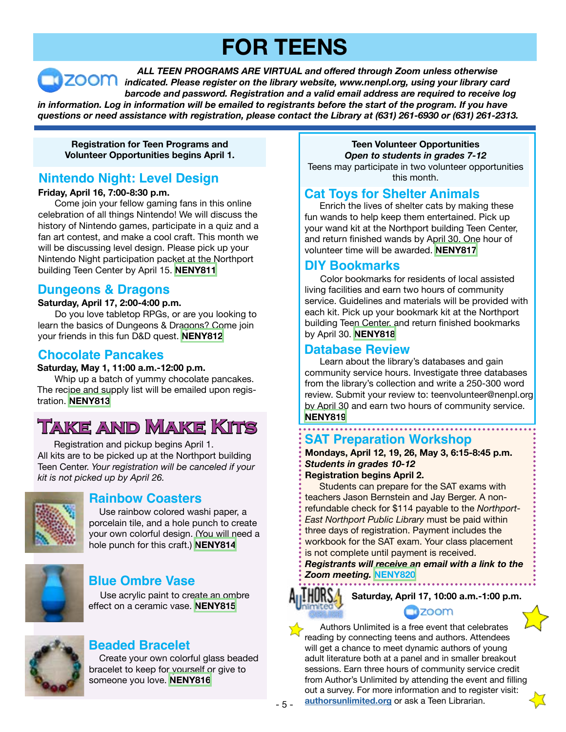# **FOR TEENS**

 *ALL TEEN PROGRAMS ARE VIRTUAL and offered through Zoom unless otherwise indicated. Please register on the library website, www.nenpl.org, using your library card barcode and password. Registration and a valid email address are required to receive log* in information. Log in information will be emailed to registrants before the start of the program. If you have *questions or need assistance with registration, please contact the Library at (631) 261-6930 or (631) 261-2313.*

**Registration for Teen Programs and Volunteer Opportunities begins April 1.**

## **Nintendo Night: Level Design**

#### **Friday, April 16, 7:00-8:30 p.m.**

 Come join your fellow gaming fans in this online celebration of all things Nintendo! We will discuss the history of Nintendo games, participate in a quiz and a fan art contest, and make a cool craft. This month we will be discussing level design. Please pick up your Nintendo Night participation packet at the Northport building Teen Center by April 15. **[NENY811](https://search.livebrary.com/record=g1103601~S43)**

## **Dungeons & Dragons**

#### **Saturday, April 17, 2:00-4:00 p.m.**

 Do you love tabletop RPGs, or are you looking to learn the basics of Dungeons & Dragons? Come join your friends in this fun D&D quest. **[NENY812](https://search.livebrary.com/record=g1103602~S43)**

## **Chocolate Pancakes**

#### **Saturday, May 1, 11:00 a.m.-12:00 p.m.**

 Whip up a batch of yummy chocolate pancakes. The recipe and supply list will be emailed upon registration. **[NENY813](https://search.livebrary.com/record=g1103737~S43)**

## **Take and Make Kits**

 Registration and pickup begins April 1. All kits are to be picked up at the Northport building Teen Center. *Your registration will be canceled if your kit is not picked up by April 26.*



## **Rainbow Coasters**

 Use rainbow colored washi paper, a porcelain tile, and a hole punch to create your own colorful design. (You will need a hole punch for this craft.) **[NENY814](https://search.livebrary.com/record=g1103738~S43)**



## **Blue Ombre Vase**

 Use acrylic paint to create an ombre effect on a ceramic vase. **[NENY815](https://search.livebrary.com/record=g1103781~S43)** 



## **Beaded Bracelet**

 Create your own colorful glass beaded bracelet to keep for yourself or give to someone you love. **[NENY816](https://search.livebrary.com/record=g1103783~S43)**

**Teen Volunteer Opportunities** *Open to students in grades 7-12* Teens may participate in two volunteer opportunities

this month.

## **Cat Toys for Shelter Animals**

Enrich the lives of shelter cats by making these fun wands to help keep them entertained. Pick up your wand kit at the Northport building Teen Center, and return finished wands by April 30. One hour of volunteer time will be awarded. **[NENY817](https://search.livebrary.com/record=g1103857~S43)**

## **DIY Bookmarks**

Color bookmarks for residents of local assisted living facilities and earn two hours of community service. Guidelines and materials will be provided with each kit. Pick up your bookmark kit at the Northport building Teen Center, and return finished bookmarks by April 30. **[NENY818](https://search.livebrary.com/record=g1103858~S43)**

### **Database Review**

Learn about the library's databases and gain community service hours. Investigate three databases from the library's collection and write a 250-300 word review. Submit your review to: teenvolunteer@nenpl.org by April 30 and earn two hours of community service. **[NENY819](https://search.livebrary.com/record=g1103859~S43)**

#### **SAT Preparation Workshop**

#### **Mondays, April 12, 19, 26, May 3, 6:15-8:45 p.m.** *Students in grades 10-12* **Registration begins April 2.**

 Students can prepare for the SAT exams with teachers Jason Bernstein and Jay Berger. A nonrefundable check for \$114 payable to the *Northport-East Northport Public Library* must be paid within three days of registration. Payment includes the workbook for the SAT exam. Your class placement is not complete until payment is received.

*Registrants will receive an email with a link to the Zoom meeting.* **[NENY820](https://search.livebrary.com/record=g1103860~S43)**



**Saturday, April 17, 10:00 a.m.-1:00 p.m. nzoom** 

 Authors Unlimited is a free event that celebrates reading by connecting teens and authors. Attendees will get a chance to meet dynamic authors of young adult literature both at a panel and in smaller breakout sessions. Earn three hours of community service credit from Author's Unlimited by attending the event and filling out a survey. For more information and to register visit: **[authorsunlimited.org](http://authorsunlimited.org/)** or ask a Teen Librarian.

- 5 -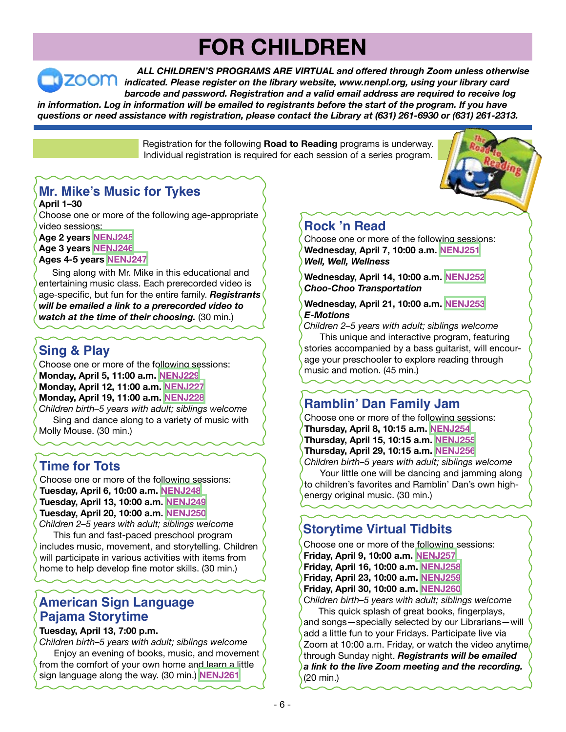# **FOR CHILDREN**

 *ALL CHILDREN'S PROGRAMS ARE VIRTUAL and offered through Zoom unless otherwise indicated. Please register on the library website, www.nenpl.org, using your library card barcode and password. Registration and a valid email address are required to receive log* in information. Log in information will be emailed to registrants before the start of the program. If you have

*questions or need assistance with registration, please contact the Library at (631) 261-6930 or (631) 261-2313.*

Registration for the following **Road to Reading** programs is underway. Individual registration is required for each session of a series program.

## **Mr. Mike's Music for Tykes**

**April 1–30**

Choose one or more of the following age-appropriate video sessions:

**Age 2 years [NENJ245](https://search.livebrary.com/record=g1103633~S43) Age 3 years [NENJ246](https://search.livebrary.com/record=g1103634~S43)**

### **Ages 4-5 years [NENJ247](https://search.livebrary.com/record=g1103635~S43)**

 Sing along with Mr. Mike in this educational and entertaining music class. Each prerecorded video is age-specific, but fun for the entire family. *Registrants will be emailed a link to a prerecorded video to watch at the time of their choosing.* (30 min.)

## **Sing & Play**

Choose one or more of the following sessions: **Monday, April 5, 11:00 a.m. [NENJ229](https://search.livebrary.com/record=g1102982~S43) Monday, April 12, 11:00 a.m. [NENJ227](https://search.livebrary.com/record=g1102983~S43) Monday, April 19, 11:00 a.m. [NENJ228](https://search.livebrary.com/record=g1102984~S43)** *Children birth–5 years with adult; siblings welcome*

 Sing and dance along to a variety of music with Molly Mouse. (30 min.)

## **Time for Tots**

Choose one or more of the following sessions: **Tuesday, April 6, 10:00 a.m. [NENJ248](https://search.livebrary.com/record=g1103365~S43) Tuesday, April 13, 10:00 a.m. [NENJ249](https://search.livebrary.com/record=g1103369~S43) Tuesday, April 20, 10:00 a.m. [NENJ250](https://search.livebrary.com/record=g1103372~S43)**

*Children 2–5 years with adult; siblings welcome* This fun and fast-paced preschool program includes music, movement, and storytelling. Children will participate in various activities with items from home to help develop fine motor skills. (30 min.)

## **American Sign Language Pajama Storytime**

#### **Tuesday, April 13, 7:00 p.m.**

*Children birth–5 years with adult; siblings welcome* Enjoy an evening of books, music, and movement from the comfort of your own home and learn a little sign language along the way. (30 min.) **[NENJ261](https://search.livebrary.com/record=g1103339~S43)**

## **Rock 'n Read**

Choose one or more of the following sessions: **Wednesday, April 7, 10:00 a.m. [NENJ251](https://search.livebrary.com/record=g1103387~S43)** *Well, Well, Wellness*

**Wednesday, April 14, 10:00 a.m. [NENJ252](https://search.livebrary.com/record=g1103389~S43)** *Choo-Choo Transportation*

#### **Wednesday, April 21, 10:00 a.m. [NENJ253](https://search.livebrary.com/record=g1103390~S43)** *E-Motions*

*Children 2–5 years with adult; siblings welcome* This unique and interactive program, featuring stories accompanied by a bass guitarist, will encourage your preschooler to explore reading through music and motion. (45 min.)

## **Ramblin' Dan Family Jam**

Choose one or more of the following sessions: **Thursday, April 8, 10:15 a.m. [NENJ254](https://search.livebrary.com/record=g1103636~S43) Thursday, April 15, 10:15 a.m. [NENJ255](https://search.livebrary.com/record=g1103637~S43) Thursday, April 29, 10:15 a.m. [NENJ256](https://search.livebrary.com/record=g1103638~S43)**

*Children birth–5 years with adult; siblings welcome* Your little one will be dancing and jamming along to children's favorites and Ramblin' Dan's own highenergy original music. (30 min.)

## **Storytime Virtual Tidbits**

Choose one or more of the following sessions: **Friday, April 9, 10:00 a.m. [NENJ257](https://search.livebrary.com/record=g1103171~S43) Friday, April 16, 10:00 a.m. [NENJ258](https://search.livebrary.com/record=g1103172~S43)**

- **Friday, April 23, 10:00 a.m. [NENJ259](https://search.livebrary.com/record=g1103337~S43)**
- **Friday, April 30, 10:00 a.m. [NENJ260](https://search.livebrary.com/record=g1103338~S43)**

C*hildren birth–5 years with adult; siblings welcome* This quick splash of great books, fingerplays,

and songs—specially selected by our Librarians—will add a little fun to your Fridays. Participate live via Zoom at 10:00 a.m. Friday, or watch the video anytime through Sunday night. *Registrants will be emailed a link to the live Zoom meeting and the recording.* (20 min.)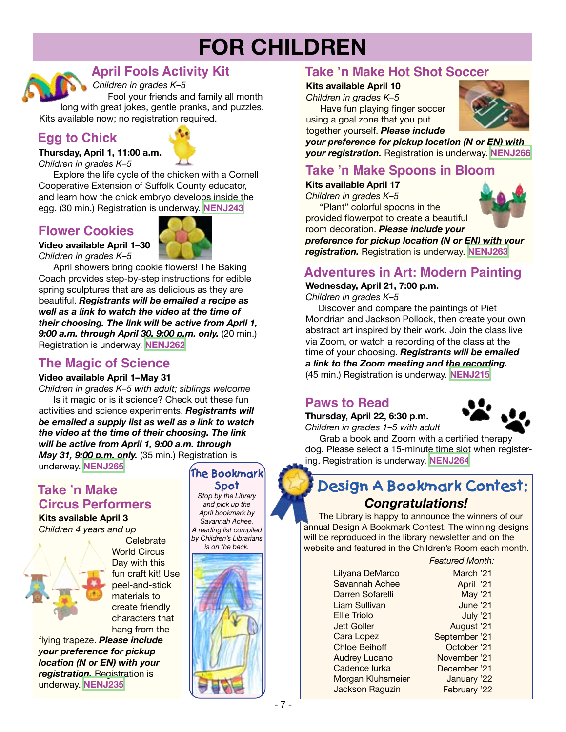# **FOR CHILDREN**



*Children in grades K–5* **April Fools Activity Kit**

Fool your friends and family all month long with great jokes, gentle pranks, and puzzles. Kits available now; no registration required.

## **Egg to Chick**



*Children in grades K–5* Explore the life cycle of the chicken with a Cornell

Cooperative Extension of Suffolk County educator, and learn how the chick embryo develops inside the egg. (30 min.) Registration is underway. **[NENJ243](https://search.livebrary.com/record=g1102950~S43)**

## **Flower Cookies**

**Video available April 1–30** *Children in grades K–5*



April showers bring cookie flowers! The Baking Coach provides step-by-step instructions for edible spring sculptures that are as delicious as they are beautiful. *Registrants will be emailed a recipe as well as a link to watch the video at the time of their choosing. The link will be active from April 1, 9:00 a.m. through April 30, 9:00 p.m. only.* (20 min.) Registration is underway. **[NENJ262](https://search.livebrary.com/record=g1102634~S43)**

## **The Magic of Science**

#### **Video available April 1–May 31**

*Children in grades K–5 with adult; siblings welcome* Is it magic or is it science? Check out these fun activities and science experiments. *Registrants will be emailed a supply list as well as a link to watch the video at the time of their choosing. The link will be active from April 1, 9:00 a.m. through May 31, 9:00 p.m. only.* (35 min.) Registration is underway. **[NENJ265](https://search.livebrary.com/record=g1103200~S43)**

Celebrate

## **Take 'n Make Circus Performers**

**Kits available April 3** *Children 4 years and up*



materials to create friendly characters that hang from the flying trapeze. *Please include your preference for pickup*

*location (N or EN) with your registration.* Registration is underway. **[NENJ235](https://search.livebrary.com/record=g1102751~S43)**

## **The Bookmark**

*Stop by the Library and pick up the April bookmark by Savannah Achee. A reading list compiled by Children's Librarians is on the back.* **Spot**



## **Take 'n Make Hot Shot Soccer**

#### **Kits available April 10**

*Children in grades K–5*

**Have fun playing finger soccer** using a goal zone that you put together yourself. *Please include*



*your preference for pickup location (N or EN) with your registration.* Registration is underway. **[NENJ266](https://search.livebrary.com/record=g1103189~S43)**

## **Take 'n Make Spoons in Bloom**

**Kits available April 17**

*Children in grades K–5* "Plant" colorful spoons in the provided flowerpot to create a beautiful

room decoration. *Please include your*



*preference for pickup location (N or EN) with your registration.* Registration is underway. **[NENJ263](https://search.livebrary.com/record=g1102959~S43)**

## **Adventures in Art: Modern Painting**

**Wednesday, April 21, 7:00 p.m.**

*Children in grades K–5*

Discover and compare the paintings of Piet Mondrian and Jackson Pollock, then create your own abstract art inspired by their work. Join the class live via Zoom, or watch a recording of the class at the time of your choosing. *Registrants will be emailed a link to the Zoom meeting and the recording.* (45 min.) Registration is underway. **[NENJ215](https://search.livebrary.com/record=g1102186~S43)**

## **Paws to Read**

**Thursday, April 22, 6:30 p.m.** *Children in grades 1–5 with adult*



 Grab a book and Zoom with a certified therapy dog. Please select a 15-minute time slot when registering. Registration is underway. **[NENJ264](https://search.livebrary.com/record=g1102318~S43)**

## *Congratulations!* **Design A Bookmark Contest:**

 The Library is happy to announce the winners of our annual Design A Bookmark Contest. The winning designs will be reproduced in the library newsletter and on the website and featured in the Children's Room each month.

#### *Featured Month:*

Lilyana DeMarco Savannah Achee Darren Sofarelli Liam Sullivan Ellie Triolo Jett Goller Cara Lopez Chloe Beihoff Audrey Lucano Cadence Iurka Morgan Kluhsmeier Jackson Raguzin

March '21 April '21 May '21 June '21 July '21 August '21 September '21 October '21 November '21 December '21 January '22 February '22